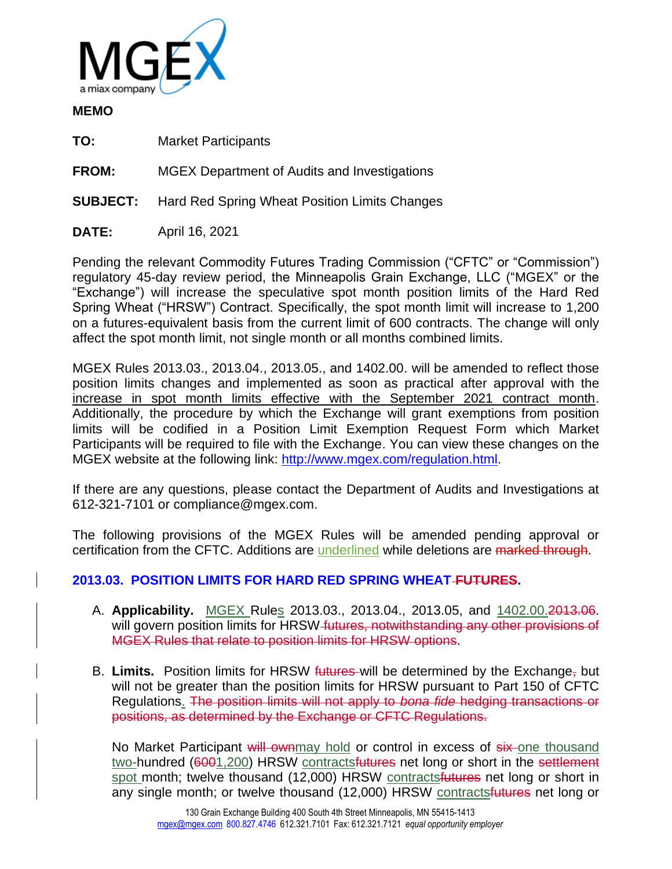

### **MEMO**

**TO:** Market Participants

**FROM:** MGEX Department of Audits and Investigations

**SUBJECT:** Hard Red Spring Wheat Position Limits Changes

**DATE:** April 16, 2021

Pending the relevant Commodity Futures Trading Commission ("CFTC" or "Commission") regulatory 45-day review period, the Minneapolis Grain Exchange, LLC ("MGEX" or the "Exchange") will increase the speculative spot month position limits of the Hard Red Spring Wheat ("HRSW") Contract. Specifically, the spot month limit will increase to 1,200 on a futures-equivalent basis from the current limit of 600 contracts. The change will only affect the spot month limit, not single month or all months combined limits.

MGEX Rules 2013.03., 2013.04., 2013.05., and 1402.00. will be amended to reflect those position limits changes and implemented as soon as practical after approval with the increase in spot month limits effective with the September 2021 contract month. Additionally, the procedure by which the Exchange will grant exemptions from position limits will be codified in a Position Limit Exemption Request Form which Market Participants will be required to file with the Exchange. You can view these changes on the MGEX website at the following link: [http://www.mgex.com/regulation.html.](http://www.mgex.com/regulation.html)

If there are any questions, please contact the Department of Audits and Investigations at 612-321-7101 or compliance@mgex.com.

The following provisions of the MGEX Rules will be amended pending approval or certification from the CFTC. Additions are underlined while deletions are marked through.

# **2013.03. POSITION LIMITS FOR HARD RED SPRING WHEAT FUTURES.**

- A. **Applicability.** MGEX Rules 2013.03., 2013.04., 2013.05, and 1402.00.2013.06. will govern position limits for HRSW futures, not with standing any other provisions of MGEX Rules that relate to position limits for HRSW options.
- B. **Limits.** Position limits for HRSW futures will be determined by the Exchange, but will not be greater than the position limits for HRSW pursuant to Part 150 of CFTC Regulations. The position limits will not apply to *bona fide* hedging transactions or positions, as determined by the Exchange or CFTC Regulations.

No Market Participant will ownmay hold or control in excess of six-one thousand two-hundred (6001,200) HRSW contractsfutures net long or short in the settlement spot month; twelve thousand (12,000) HRSW contracts futures net long or short in any single month; or twelve thousand (12,000) HRSW contracts futures net long or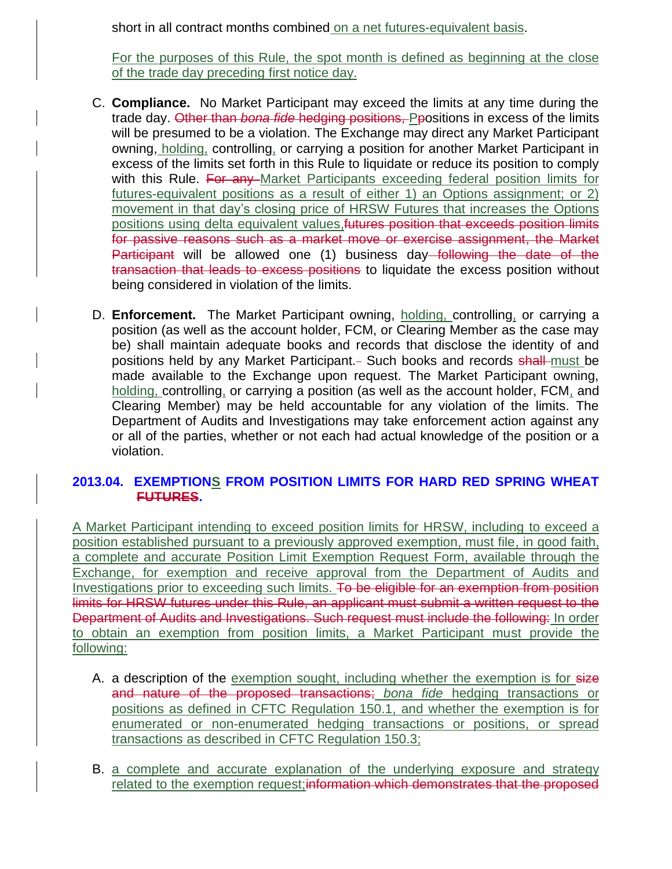short in all contract months combined on a net futures-equivalent basis.

For the purposes of this Rule, the spot month is defined as beginning at the close of the trade day preceding first notice day.

- C. **Compliance.** No Market Participant may exceed the limits at any time during the trade day. Other than *bona fide* hedging positions, Ppositions in excess of the limits will be presumed to be a violation. The Exchange may direct any Market Participant owning, holding, controlling, or carrying a position for another Market Participant in excess of the limits set forth in this Rule to liquidate or reduce its position to comply with this Rule. For any Market Participants exceeding federal position limits for futures-equivalent positions as a result of either 1) an Options assignment; or 2) movement in that day's closing price of HRSW Futures that increases the Options positions using delta equivalent values, futures position that exceeds position limits for passive reasons such as a market move or exercise assignment, the Market Participant will be allowed one (1) business day following the date of the transaction that leads to excess positions to liquidate the excess position without being considered in violation of the limits.
- D. **Enforcement.** The Market Participant owning, holding, controlling, or carrying a position (as well as the account holder, FCM, or Clearing Member as the case may be) shall maintain adequate books and records that disclose the identity of and positions held by any Market Participant. - Such books and records shall must be made available to the Exchange upon request. The Market Participant owning, holding, controlling, or carrying a position (as well as the account holder, FCM, and Clearing Member) may be held accountable for any violation of the limits. The Department of Audits and Investigations may take enforcement action against any or all of the parties, whether or not each had actual knowledge of the position or a violation.

### **2013.04. EXEMPTIONS FROM POSITION LIMITS FOR HARD RED SPRING WHEAT FUTURES.**

A Market Participant intending to exceed position limits for HRSW, including to exceed a position established pursuant to a previously approved exemption, must file, in good faith, a complete and accurate Position Limit Exemption Request Form, available through the Exchange, for exemption and receive approval from the Department of Audits and Investigations prior to exceeding such limits. To be eligible for an exemption from position limits for HRSW futures under this Rule, an applicant must submit a written request to the Department of Audits and Investigations. Such request must include the following: In order to obtain an exemption from position limits, a Market Participant must provide the following:

- A. a description of the exemption sought, including whether the exemption is for size and nature of the proposed transactions; *bona fide* hedging transactions or positions as defined in CFTC Regulation 150.1, and whether the exemption is for enumerated or non-enumerated hedging transactions or positions, or spread transactions as described in CFTC Regulation 150.3;
- B. a complete and accurate explanation of the underlying exposure and strategy related to the exemption request; information which demonstrates that the proposed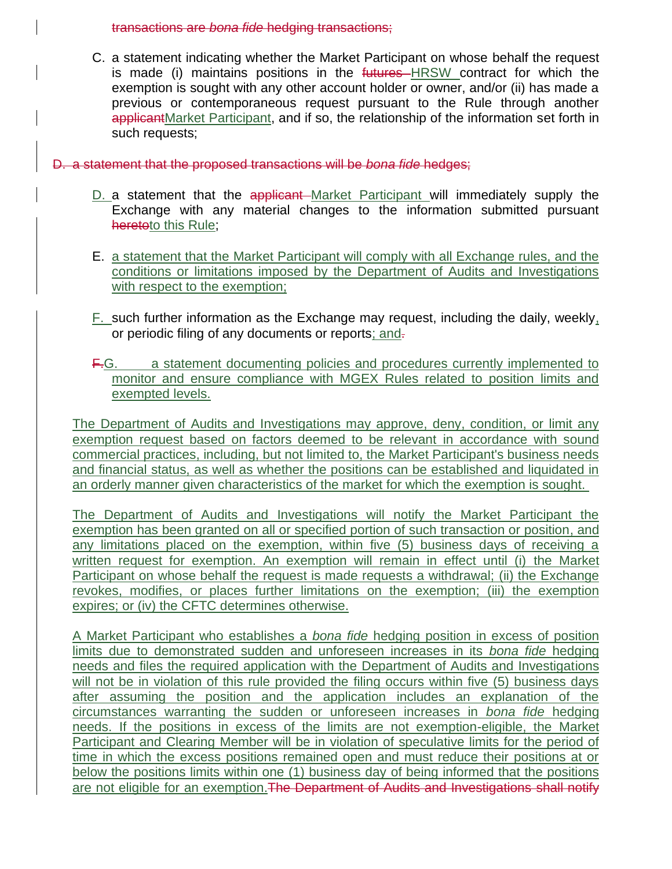transactions are *bona fide* hedging transactions;

C. a statement indicating whether the Market Participant on whose behalf the request is made (i) maintains positions in the futures HRSW contract for which the exemption is sought with any other account holder or owner, and/or (ii) has made a previous or contemporaneous request pursuant to the Rule through another applicantMarket Participant, and if so, the relationship of the information set forth in such requests;

#### D. a statement that the proposed transactions will be *bona fide* hedges;

- D. a statement that the applicant Market Participant will immediately supply the Exchange with any material changes to the information submitted pursuant heretoto this Rule;
- E. a statement that the Market Participant will comply with all Exchange rules, and the conditions or limitations imposed by the Department of Audits and Investigations with respect to the exemption;
- $F<sub>r</sub>$  such further information as the Exchange may request, including the daily, weekly, or periodic filing of any documents or reports; and-
- F.G. a statement documenting policies and procedures currently implemented to monitor and ensure compliance with MGEX Rules related to position limits and exempted levels.

The Department of Audits and Investigations may approve, deny, condition, or limit any exemption request based on factors deemed to be relevant in accordance with sound commercial practices, including, but not limited to, the Market Participant's business needs and financial status, as well as whether the positions can be established and liquidated in an orderly manner given characteristics of the market for which the exemption is sought.

The Department of Audits and Investigations will notify the Market Participant the exemption has been granted on all or specified portion of such transaction or position, and any limitations placed on the exemption, within five (5) business days of receiving a written request for exemption. An exemption will remain in effect until (i) the Market Participant on whose behalf the request is made requests a withdrawal; (ii) the Exchange revokes, modifies, or places further limitations on the exemption; (iii) the exemption expires; or (iv) the CFTC determines otherwise.

A Market Participant who establishes a *bona fide* hedging position in excess of position limits due to demonstrated sudden and unforeseen increases in its *bona fide* hedging needs and files the required application with the Department of Audits and Investigations will not be in violation of this rule provided the filing occurs within five (5) business days after assuming the position and the application includes an explanation of the circumstances warranting the sudden or unforeseen increases in *bona fide* hedging needs. If the positions in excess of the limits are not exemption-eligible, the Market Participant and Clearing Member will be in violation of speculative limits for the period of time in which the excess positions remained open and must reduce their positions at or below the positions limits within one (1) business day of being informed that the positions are not eligible for an exemption. The Department of Audits and Investigations shall notify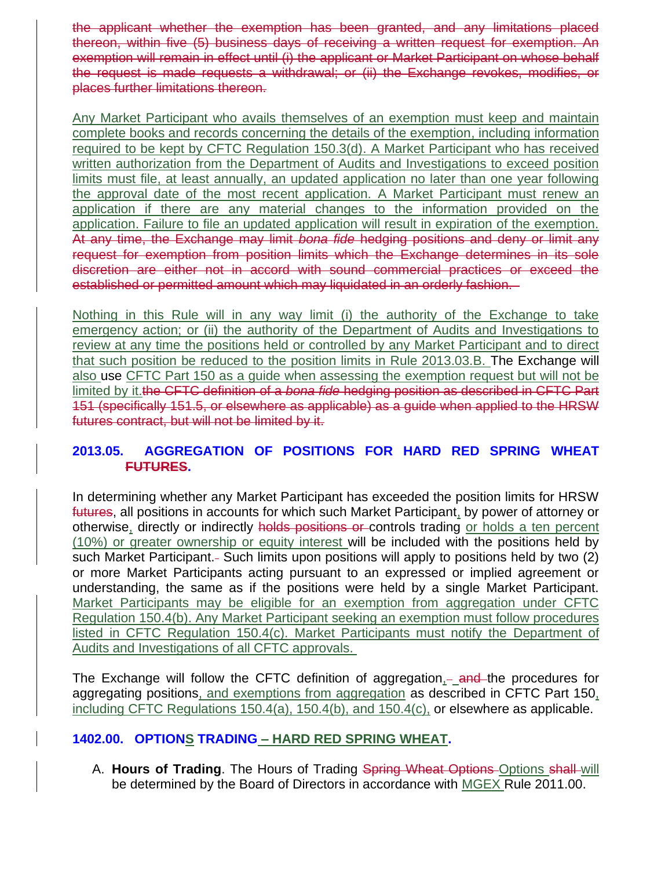the applicant whether the exemption has been granted, and any limitations placed thereon, within five (5) business days of receiving a written request for exemption. An exemption will remain in effect until (i) the applicant or Market Participant on whose behalf the request is made requests a withdrawal; or (ii) the Exchange revokes, modifies, or places further limitations thereon.

Any Market Participant who avails themselves of an exemption must keep and maintain complete books and records concerning the details of the exemption, including information required to be kept by CFTC Regulation 150.3(d). A Market Participant who has received written authorization from the Department of Audits and Investigations to exceed position limits must file, at least annually, an updated application no later than one year following the approval date of the most recent application. A Market Participant must renew an application if there are any material changes to the information provided on the application. Failure to file an updated application will result in expiration of the exemption. At any time, the Exchange may limit *bona fide* hedging positions and deny or limit any request for exemption from position limits which the Exchange determines in its sole discretion are either not in accord with sound commercial practices or exceed the established or permitted amount which may liquidated in an orderly fashion.

Nothing in this Rule will in any way limit (i) the authority of the Exchange to take emergency action; or (ii) the authority of the Department of Audits and Investigations to review at any time the positions held or controlled by any Market Participant and to direct that such position be reduced to the position limits in Rule 2013.03.B. The Exchange will also use CFTC Part 150 as a guide when assessing the exemption request but will not be limited by it.the CFTC definition of a *bona fide* hedging position as described in CFTC Part 151 (specifically 151.5, or elsewhere as applicable) as a guide when applied to the HRSW futures contract, but will not be limited by it.

# **2013.05. AGGREGATION OF POSITIONS FOR HARD RED SPRING WHEAT FUTURES.**

In determining whether any Market Participant has exceeded the position limits for HRSW futures, all positions in accounts for which such Market Participant, by power of attorney or otherwise, directly or indirectly holds positions or controls trading or holds a ten percent (10%) or greater ownership or equity interest will be included with the positions held by such Market Participant. - Such limits upon positions will apply to positions held by two (2) or more Market Participants acting pursuant to an expressed or implied agreement or understanding, the same as if the positions were held by a single Market Participant. Market Participants may be eligible for an exemption from aggregation under CFTC Regulation 150.4(b). Any Market Participant seeking an exemption must follow procedures listed in CFTC Regulation 150.4(c). Market Participants must notify the Department of Audits and Investigations of all CFTC approvals.

The Exchange will follow the CFTC definition of aggregation, and the procedures for aggregating positions, and exemptions from aggregation as described in CFTC Part 150, including CFTC Regulations 150.4(a), 150.4(b), and 150.4(c), or elsewhere as applicable.

# **1402.00. OPTIONS TRADING – HARD RED SPRING WHEAT.**

A. **Hours of Trading**. The Hours of Trading Spring Wheat Options Options shall will be determined by the Board of Directors in accordance with MGEX Rule 2011.00.